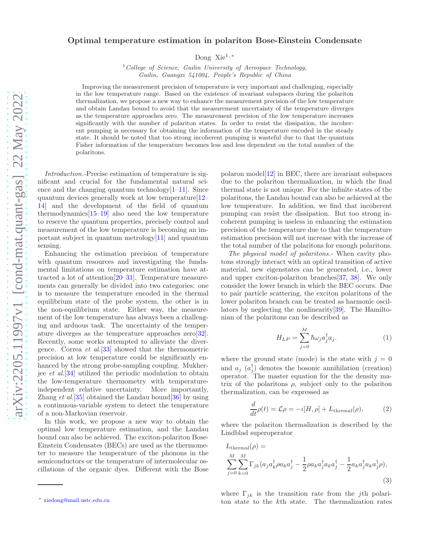## Optimal temperature estimation in polariton Bose-Einstein Condensate

Dong Xie1, [∗](#page-0-0)

 $1$  College of Science, Guilin University of Aerospace Technology, Guilin, Guangxi 541004, People's Republic of China

Improving the measurement precision of temperature is very important and challenging, especially in the low temperature range. Based on the existence of invariant subspaces during the polariton thermalization, we propose a new way to enhance the measurement precision of the low temperature and obtain Landau bound to avoid that the measurement uncertainty of the temperature diverges as the temperature approaches zero. The measurement precision of the low temperature increases significantly with the number of polariton states. In order to resist the dissipation, the incoherent pumping is necessary for obtaining the information of the temperature encoded in the steady state. It should be noted that too strong incoherent pumping is wasteful due to that the quantum Fisher information of the temperature becomes less and less dependent on the total number of the polaritons.

*Introduction.-*Precise estimation of temperature is significant and crucial for the fundamental natural science and the changing quantum technology $[1-11]$  $[1-11]$ . Since quantum devices generally work at low temperature[\[12](#page-5-1)– [14\]](#page-5-2) and the development of the field of quantum thermodynamics[\[15](#page-5-3)[–19\]](#page-5-4) also need the low temperature to reserve the quantum properties, precisely control and measurement of the low temperature is becoming an important subject in quantum metrology[\[11\]](#page-5-0) and quantum sensing.

Enhancing the estimation precision of temperature with quantum resources and investigating the fundamental limitations on temperature estimation have attracted a lot of attention[\[20](#page-5-5)[–31\]](#page-5-6). Temperature measurements can generally be divided into two categories: one is to measure the temperature encoded in the thermal equilibrium state of the probe system, the other is in the non-equilibrium state. Either way, the measurement of the low temperature has always been a challenging and arduous task. The uncertainty of the temperature diverges as the temperature approaches zero[\[32\]](#page-5-7). Recently, some works attempted to alleviate the divergence. Correa *et al.*[\[33](#page-5-8)] showed that the thermometric precision at low temperature could be significantly enhanced by the strong probe-sampling coupling. Mukherjee *et al.*[\[34](#page-5-9)] utilized the periodic modulation to obtain the low-temperature thermometry with temperatureindependent relative uncertainty. More importantly, Zhang *et al.*[\[35](#page-5-10)] obtained the Landau bound[\[36](#page-5-11)] by using a continuous-variable system to detect the temperature of a non-Markovian reservoir.

In this work, we propose a new way to obtain the optimal low temperature estimation, and the Landau bound can also be achieved. The exciton-polariton Bose-Einstein Condensates (BECs) are used as the thermometer to measure the temperature of the phonons in the semiconductors or the temperature of intermolecular oscillations of the organic dyes. Different with the Bose

polaron model[\[12](#page-5-1)] in BEC, there are invariant subspaces due to the polariton thermalization, in which the final thermal state is not unique. For the infinite states of the polaritons, the Landau bound can also be achieved at the low temperature. In addition, we find that incoherent pumping can resist the dissipation. But too strong incoherent pumping is useless in enhancing the estimation precision of the temperature due to that the temperature estimation precision will not increase with the increase of the total number of the polaritons for enough polaritons.

*The physical model of polaritons.-* When cavity photons strongly interact with an optical transition of active material, new eigenstates can be generated, i.e., lower and upper exciton-polariton branches[\[37,](#page-5-12) [38\]](#page-5-13). We only consider the lower branch in which the BEC occurs. Due to pair particle scattering, the exciton polaritons of the lower polariton branch can be treated as harmonic oscillators by neglecting the nonlinearity[\[39\]](#page-5-14). The Hamiltonian of the polaritons can be described as

$$
H_{LP} = \sum_{j=0}^{M} \hbar \omega_j a_j^{\dagger} a_j.
$$
 (1)

where the ground state (mode) is the state with  $j = 0$ and  $a_j$   $(a_j^{\dagger})$  denotes the bosonic annihilation (creation) operator. The master equation for the the density matrix of the polaritons  $\rho$ , subject only to the polariton thermalization, can be expressed as

$$
\frac{d}{dt}\rho(t) = \mathcal{L}\rho = -i[H,\rho] + L_{\text{thermal}}(\rho),\tag{2}
$$

where the polariton thermalization is described by the Lindblad superoperator

$$
L_{\text{thermal}}(\rho) =
$$
  

$$
\sum_{j=0}^{M} \sum_{k=0}^{M} \Gamma_{jk} (a_j a_k^{\dagger} \rho a_k a_j^{\dagger} - \frac{1}{2} \rho a_k a_j^{\dagger} a_k a_j^{\dagger} - \frac{1}{2} a_k a_j^{\dagger} a_k a_j^{\dagger} \rho),
$$
  
(3)

where  $\Gamma_{jk}$  is the transition rate from the j<sup>th</sup> polariton state to the kth state. The thermalization rates

<span id="page-0-0"></span><sup>∗</sup> [xiedong@mail.ustc.edu.cn](mailto:xiedong@mail.ustc.edu.cn)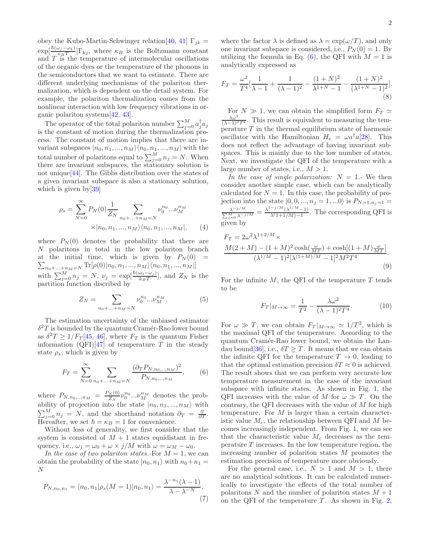obey the Kubo-Martin-Schwinger relation[\[40](#page-5-15), [41\]](#page-5-16)  $\Gamma_{jk}$  =  $\exp[\frac{\hbar(\omega_j-\omega_k)}{\kappa_B T}] \Gamma_{kj}$ , where  $\kappa_B$  is the Boltzmann constant and  $T$  is the temperature of intermolecular oscillations of the organic dyes or the temperature of the phonons in the semiconductors that we want to estimate. There are different underlying mechanisms of the polariton thermalization, which is dependent on the detail system. For example, the polariton thermalization comes from the nonlinear interaction with low frequency vibrations in organic polariton systems[\[42](#page-6-0), [43\]](#page-6-1).

The operator of the total polariton number  $\sum_{j=0}^{M} a_j^{\dagger} a_j$ is the constant of motion during the thermalization process. The constant of motion implies that there are invariant subspaces  $|n_0, n_1, ..., n_M\rangle\langle n_0, n_1, ..., n_M|$  with the total number of polaritons equal to  $\sum_{j=0}^{M} n_j = N$ . When there are invariant subspaces, the stationary solution is not unique[\[44](#page-6-2)]. The Gibbs distribution over the states of a given invariant subspace is also a stationary solution, which is given by  $39$ 

$$
\rho_s = \sum_{N=0}^{\infty} P_N(0) \frac{1}{Z_N} \sum_{n_0 + \dots + n_M = N} \nu_0^{n_0} \dots \nu_M^{n_M}
$$

$$
\times |n_0, n_1, \dots, n_M\rangle \langle n_0, n_1, \dots, n_M|, \qquad (4)
$$

where  $P_N(0)$  denotes the probability that there are N polaritons in total in the low polariton branch at the initial time, which is given by  $P_N(0)$  =  $\sum_{n_0+\ldots+n_M=N} \text{Tr}[\rho(0)|n_0, n_1, ..., n_M\rangle\langle n_0, n_1, ..., n_M|]$ with  $\sum_{j=0}^{M} n_j = N$ ,  $\nu_j = \exp\left[\frac{\hbar(\omega_0 - \omega_j)}{k_B T}\right]$ , and  $Z_N$  is the partition function discribed by

$$
Z_N = \sum_{n_0 + \dots + n_M = N} \nu_0^{n_0} \dots \nu_M^{n_M}.
$$
 (5)

The estimation uncertainty of the unbiased estimator  $\delta^2 T$  is bounded by the quantum Cramér-Rao lower bound as  $\delta^2 T \ge 1/F_T[45, 46]$  $\delta^2 T \ge 1/F_T[45, 46]$  $\delta^2 T \ge 1/F_T[45, 46]$  $\delta^2 T \ge 1/F_T[45, 46]$  $\delta^2 T \ge 1/F_T[45, 46]$ , where  $F_T$  is the quantum Fisher information  $(QFI)[47]$  $(QFI)[47]$  of temperature T in the steady state  $\rho_s$ , which is given by

$$
F_T = \sum_{N=0}^{\infty} \sum_{n_0 + \dots + n_M = N} \frac{(\partial_T P_{N, n_0, \dots, n_M})^2}{P_{N, n_0, \dots, n_M}},
$$
(6)

where  $P_{N,n_0...n_M} = \frac{P_N(0)}{Z_N}$  $\frac{\partial N(0)}{\partial N} \nu_0^{n_0} ... \nu_M^{n_M}$  denotes the probability of projection into the state  $|n_0, n_1, ..., n_M\rangle$  with  $\sum_{j=0}^{M} n_j = N$ , and the shorthand notation  $\partial_T = \frac{\partial}{\partial T}$ . Hereafter, we set  $\hbar = \kappa_B = 1$  for convenience.

Without loss of generality, we first consider that the system is consisted of  $M + 1$  states equidistant in frequency, i.e.,  $\omega_i = \omega_0 + \omega \times j/M$  with  $\omega = \omega_M - \omega_0$ .

In the case of two polariton states.-For  $M = 1$ , we can obtain the probability of the state  $|n_0, n_1\rangle$  with  $n_0+n_1 =$ N

$$
P_{N,n_0,n_1} = \langle n_0, n_1 | \rho_s(M=1) | n_0, n_1 \rangle = \frac{\lambda^{-n_1}(\lambda - 1)}{\lambda - \lambda^{-N}},
$$
\n(7)

where the factor  $\lambda$  is defined as  $\lambda = \exp(\omega/T)$ , and only one invariant subspace is considered, i.e.,  $P_N(0) = 1$ . By utilizing the formula in Eq. [\(6\)](#page-1-0), the QFI with  $M = 1$  is analytically expressed as

<span id="page-1-2"></span>
$$
F_T = \frac{\omega^2}{T^4} \left[ \frac{1}{\lambda - 1} + \frac{1}{(\lambda - 1)^2} - \frac{(1 + N)^2}{\lambda^{1 + N} - 1} - \frac{(1 + N)^2}{(\lambda^{1 + N} - 1)^2} \right].
$$
\n(8)

For  $N \gg 1$ , we can obtain the simplified form  $F_T \simeq$  $\frac{\lambda \omega^2}{(\lambda - 1)^2 T^4}$ . This result is equivalent to measuring the temperature  $T$  in the thermal equilibrium state of harmonic oscillator with the Hamiltonian  $H_e = \omega a^{\dagger} a[28]$  $H_e = \omega a^{\dagger} a[28]$  $H_e = \omega a^{\dagger} a[28]$ . This does not reflect the advantage of having invariant subspaces. This is mainly due to the low number of states. Next, we investigate the QFI of the temperature with a large number of states, i.e.,  $M > 1$ .

*In the case of single polarization:*  $N = 1$ . We then consider another simple case, which can be analytically calculated for  $N = 1$ . In this case, the probability of projection into the state  $|0, 0, ..., n_j = 1, ... 0\rangle$  is  $P_{N=1,n_j=1}$  $\lambda^{-j/M}$  $\frac{\lambda^{-j/M}}{\sum_{j=0}^{M} \lambda^{-j/M}} = \frac{\lambda^{1-j/M} (\lambda^{1/M}-1)}{\lambda^{(1+1/M)-1}}$  $\frac{(\lambda - 1)}{\lambda(1+1/M)-1}$ . The corresponding QFI is given by

<span id="page-1-1"></span>
$$
F_T = 2\omega^2 \lambda^{1+2/M} \times
$$
  
\n
$$
\frac{M(2+M) - (1+M)^2 \cosh(\frac{\omega}{MT}) + \cosh[(1+M)\frac{\omega}{MT}]}{(\lambda^{1/M} - 1)^2 [\lambda^{(1+M)/M} - 1]^2 M^2 T^4}.
$$
\n(9)

For the infinite  $M$ , the QFI of the temperature  $T$  tends to be

$$
F_T|_{M\to\infty} = \frac{1}{T^2} - \frac{\lambda\omega^2}{(\lambda - 1)^2 T^4}.
$$
 (10)

<span id="page-1-0"></span>For  $\omega \gg T$ , we can obtain  $F_T|_{M\to\infty} \simeq 1/T^2$ , which is the maximal QFI of the temperature. According to the quantum Cramér-Rao lower bound, we obtain the Lan-dau bound[\[36\]](#page-5-11), i.e.,  $\delta T \geq T$ . It means that we can obtain the infinite QFI for the temperature  $T \to 0$ , leading to that the optimal estimation precision  $\delta T \approx 0$  is achieved. The result shows that we can perform very accurate low temperature measurement in the case of the invariant subspace with infinite states. As shown in Fig. [1,](#page-2-0) the QFI increases with the value of M for  $\omega \gg T$ . On the contrary, the QFI decreases with the value of  $M$  for high temperature. For  $M$  is larger than a certain characteristic value  $M_c$ , the relationship between QFI and M becomes increasingly independent. From Fig. [1,](#page-2-0) we can see that the characteristic value  $M_c$  decreases as the temperature  $T$  increases. In the low temperature region, the increasing number of polariton states M promotes the estimation precision of temperature more obviously.

For the general case, i.e.,  $N > 1$  and  $M > 1$ , there are no analytical solutions. It can be calculated numerically to investigate the effects of the total number of polaritons N and the number of polariton states  $M + 1$ on the QFI of the temperature  $T$ . As shown in Fig. [2,](#page-2-1)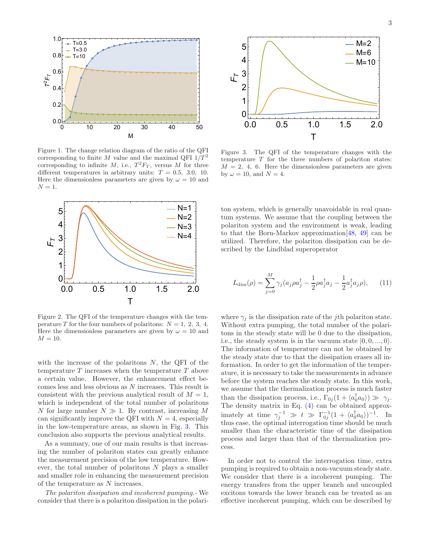

<span id="page-2-0"></span>Figure 1. The change relation diagram of the ratio of the QFI corresponding to finite M value and the maximal QFI  $1/T^2$ corresponding to infinite M, i.e.,  $T^2F_T$ , versus M for three different temperatures in arbitrary units:  $T = 0.5, 3.0, 10$ . Here the dimensionless parameters are given by  $\omega = 10$  and  $N=1$ .



<span id="page-2-1"></span>Figure 2. The QFI of the temperature changes with the temperature T for the four numbers of polaritons:  $N = 1, 2, 3, 4$ . Here the dimensionless parameters are given by  $\omega = 10$  and  $M = 10$ .

with the increase of the polaritons  $N$ , the QFI of the temperature  $T$  increases when the temperature  $T$  above a certain value. However, the enhancement effect becomes less and less obvious as N increases. This result is consistent with the previous analytical result of  $M = 1$ , which is independent of the total number of polaritons N for large number  $N \gg 1$ . By contrast, increasing M can significantly improve the QFI with  $N = 4$ , especially in the low-temperature areas, as shown in Fig. [3.](#page-2-2) This conclusion also supports the previous analytical results.

As a summary, one of our main results is that increasing the number of polariton states can greatly enhance the measurement precision of the low temperature. However, the total number of polaritons  $N$  plays a smaller and smaller role in enhancing the measurement precision of the temperature as N increases.

*The polariton dissipation and incoherent pumping.-* We consider that there is a polariton dissipation in the polari-



<span id="page-2-2"></span>Figure 3. The QFI of the temperature changes with the temperature  $T$  for the three numbers of polariton states:  $M = 2, 4, 6$ . Here the dimensionless parameters are given by  $\omega = 10$ , and  $N = 4$ .

ton system, which is generally unavoidable in real quantum systems. We assume that the coupling between the polariton system and the environment is weak, leading to that the Born-Markov approximation[\[48,](#page-6-6) [49\]](#page-6-7) can be utilized. Therefore, the polariton dissipation can be described by the Lindblad superoperator

$$
L_{\text{diss}}(\rho) = \sum_{j=0}^{M} \gamma_j (a_j \rho a_j^{\dagger} - \frac{1}{2} \rho a_j^{\dagger} a_j - \frac{1}{2} a_j^{\dagger} a_j \rho), \qquad (11)
$$

where  $\gamma_j$  is the dissipation rate of the *j*th polariton state. Without extra pumping, the total number of the polaritons in the steady state will be 0 due to the dissipation, i.e., the steady system is in the vacuum state  $|0, 0, ..., 0\rangle$ . The information of temperature can not be obtained by the steady state due to that the dissipation erases all information. In order to get the information of the temperature, it is necessary to take the measurements in advance before the system reaches the steady state. In this work, we assume that the thermalization process is much faster than the dissipation process, i.e.,  $\Gamma_{0j}(1 + \langle a_0^{\dagger} a_0 \rangle) \gg \gamma_j$ . The density matrix in Eq. [\(4\)](#page-1-1) can be obtained approximately at time  $\gamma_j^{-1} \gg t \gg \Gamma_{0j}^{-1} (1 + \langle a_0^{\dagger} a_0 \rangle)^{-1}$ . In thus case, the optimal interrogation time should be much smaller than the characteristic time of the dissipation process and larger than that of the thermalization process.

In order not to control the interrogation time, extra pumping is required to obtain a non-vacuum steady state. We consider that there is a incoherent pumping. The energy transfers from the upper branch and uncoupled excitons towards the lower branch can be treated as an effective incoherent pumping, which can be described by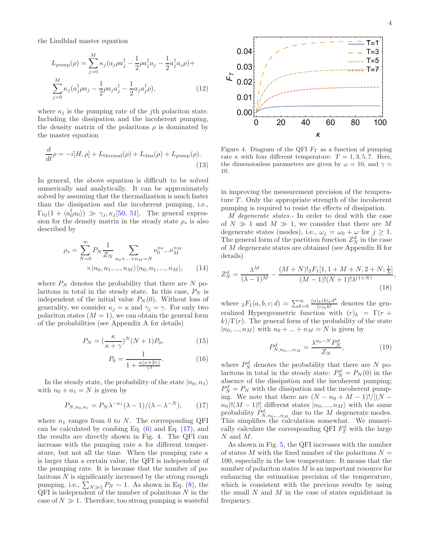the Lindblad master equation

$$
L_{\text{pump}}(\rho) = \sum_{j=0}^{M} \kappa_j (a_j \rho a_j^{\dagger} - \frac{1}{2} \rho a_j^{\dagger} a_j - \frac{1}{2} a_j^{\dagger} a_j \rho) +
$$
  

$$
\sum_{j=0}^{M} \kappa_j (a_j^{\dagger} \rho a_j - \frac{1}{2} \rho a_j a_j^{\dagger} - \frac{1}{2} a_j a_j^{\dagger} \rho),
$$
 (12)

where  $\kappa_j$  is the pumping rate of the *j*th polariton state. Including the dissipation and the incoherent pumping, the density matrix of the polaritons  $\rho$  is dominated by the master equation

$$
\frac{d}{dt}\rho = -i[H, \rho] + L_{\text{thermal}}(\rho) + L_{\text{diss}}(\rho) + L_{\text{pump}}(\rho). \tag{13}
$$

In general, the above equation is difficult to be solved numerically and analytically. It can be approximately solved by assuming that the thermalization is much faster than the dissipation and the incoherent pumping, i.e.,  $\Gamma_{0j}(1+\langle a_0^{\dagger}a_0\rangle) \gg \gamma_j, \kappa_j[50, 51].$  $\Gamma_{0j}(1+\langle a_0^{\dagger}a_0\rangle) \gg \gamma_j, \kappa_j[50, 51].$  $\Gamma_{0j}(1+\langle a_0^{\dagger}a_0\rangle) \gg \gamma_j, \kappa_j[50, 51].$  $\Gamma_{0j}(1+\langle a_0^{\dagger}a_0\rangle) \gg \gamma_j, \kappa_j[50, 51].$  $\Gamma_{0j}(1+\langle a_0^{\dagger}a_0\rangle) \gg \gamma_j, \kappa_j[50, 51].$  The general expression for the density matrix in the steady state  $\rho_s$  is also described by

$$
\rho_s = \sum_{N=0}^{\infty} P_N \frac{1}{Z_N} \sum_{n_0 + \dots + n_M = N} \nu_0^{n_0} ... \nu_M^{n_M}
$$
  
 
$$
\times |n_0, n_1, ..., n_M\rangle \langle n_0, n_1, ..., n_M|, \qquad (14)
$$

where  $P_N$  denotes the probability that there are N polaritons in total in the steady state. In this case,  $P_N$  is independent of the initial value  $P_N(0)$ . Without loss of generality, we consider  $\kappa_j = \kappa$  and  $\gamma_j = \gamma$ . For only two polariton states  $(M = 1)$ , we can obtain the general form of the probabilities (see Appendix A for details)

$$
P_N = \left(\frac{\kappa}{\kappa + \gamma}\right)^N (N+1) P_0,\tag{15}
$$

$$
P_0 = \frac{1}{1 + \frac{\kappa(\kappa + 2\gamma)}{\gamma^2}}.\tag{16}
$$

In the steady state, the probability of the state  $|n_0, n_1\rangle$ with  $n_0 + n_1 = N$  is given by

$$
P_{N,n_0,n_1} = P_N \lambda^{-n_1} (\lambda - 1) / (\lambda - \lambda^{-N}), \qquad (17)
$$

where  $n_1$  ranges from 0 to N. The corresponding QFI can be calculated by combing Eq.  $(6)$  and Eq.  $(17)$ , and the results are directly shown in Fig. [4.](#page-3-1) The QFI can increase with the pumping rate  $\kappa$  for different temperature, but not all the time. When the pumping rate  $\kappa$ is larger than a certain value, the QFI is independent of the pumping rate. It is because that the number of polaritons  $N$  is significantly increased by the strong enough pumping, i.e.,  $\sum_{N\gg 1} P_N \sim 1$ . As shown in Eq. [\(8\)](#page-1-2), the  $QFI$  is independent of the number of polaritons  $N$  in the case of  $N \gg 1$ . Therefore, too strong pumping is wasteful



<span id="page-3-1"></span>Figure 4. Diagram of the QFI  $F_T$  as a function of pumping rate  $\kappa$  with four different temperature:  $T = 1, 3, 5, 7$ . Here, the dimensionless parameters are given by  $\omega = 10$ , and  $\gamma =$ 10.

in improving the measurement precision of the temperature  $T$ . Only the appropriate strength of the incoherent pumping is required to resist the effects of dissipation.

*M degenerate states.-* In order to deal with the case of  $N \gg 1$  and  $M \gg 1$ , we consider that there are M degenerate states (modes), i.e.,  $\omega_j = \omega_0 + \omega$  for  $j \ge 1$ . The general form of the partition function  $Z_N^d$  in the case of M degenerate states are obtained (see Appendix B for details)

$$
Z_N^d = \frac{\lambda^M}{(\lambda - 1)^M} - \frac{(M + N)!_2 F_1[1, 1 + M + N, 2 + N; \frac{1}{\lambda}]}{(M - 1)!(N + 1)!\lambda^{(1 + N)}}
$$
(18)

where  ${}_2F_1(a, b, c; d) = \sum_{k=0}^{\infty} \frac{(a)_k (b)_k d^k}{(c)_k k!}$  $\frac{\partial k^{(0)}k^{a}}{(c)_{k}k!}$  denotes the generalized Hypergeometric function with  $(r)_k = \Gamma(r +$  $k/\Gamma(r)$ . The general form of the probability of the state  $|n_0, ..., n_M\rangle$  with  $n_0 + ... + n_M = N$  is given by

$$
P_{N,n_0,...,n_M}^d = \frac{\lambda^{n_0 - N} P_N^d}{Z_N},
$$
\n(19)

<span id="page-3-0"></span>where  $P_N^d$  denotes the probability that there are N polaritons in total in the steady state:  $P_N^d = P_N(0)$  in the absence of the dissipation and the incoherent pumping;  $P_N^d = P_N$  with the dissipation and the incoherent pumping. We note that there are  $(N - n_0 + M - 1)!/[(N$  $n_0$ ! $(M-1)!$ ] different states  $|n_0, ..., n_M\rangle$  with the same probability  $P_{N,n_0...n_M}^d$  due to the M degenerate modes. This simplifies the calculation somewhat. We numerically calculate the corresponding QFI  $F_T^d$  with the large N and M.

As shown in Fig. [5,](#page-4-1) the QFI increases with the number of states M with the fixed number of the polaritons  $N =$ 100, especially in the low temperature. It means that the number of polariton states  $M$  is an important resource for enhancing the estimation precision of the temperature, which is consistent with the previous results by using the small  $N$  and  $M$  in the case of states equidistant in frequency.

,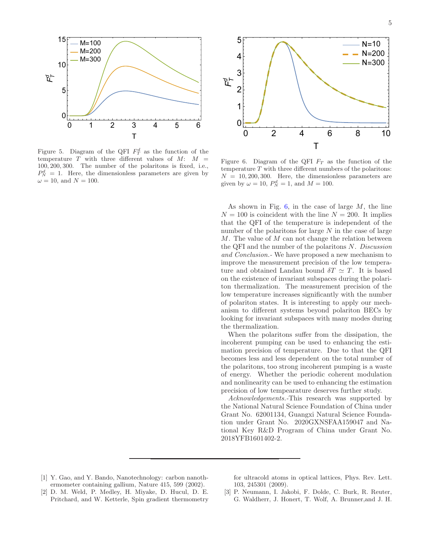

<span id="page-4-1"></span>Figure 5. Diagram of the QFI  $F_T^d$  as the function of the temperature  $T$  with three different values of  $M: M =$ 100, 200, 300. The number of the polaritons is fixed, i.e.,  $P_N^d = 1$ . Here, the dimensionless parameters are given by  $\omega = 10$ , and  $N = 100$ .



<span id="page-4-2"></span>Figure 6. Diagram of the QFI  $F_T$  as the function of the temperature  $T$  with three different numbers of the polaritons:  $N = 10, 200, 300$ . Here, the dimensionless parameters are given by  $\omega = 10$ ,  $P_N^d = 1$ , and  $M = 100$ .

As shown in Fig.  $6$ , in the case of large  $M$ , the line  $N = 100$  is coincident with the line  $N = 200$ . It implies that the QFI of the temperature is independent of the number of the polaritons for large  $N$  in the case of large  $M$ . The value of  $M$  can not change the relation between the QFI and the number of the polaritons N. *Discussion and Conclusion.-* We have proposed a new mechanism to improve the measurement precision of the low temperature and obtained Landau bound  $\delta T \simeq T$ . It is based on the existence of invariant subspaces during the polariton thermalization. The measurement precision of the low temperature increases significantly with the number of polariton states. It is interesting to apply our mechanism to different systems beyond polariton BECs by looking for invariant subspaces with many modes during the thermalization.

When the polaritons suffer from the dissipation, the incoherent pumping can be used to enhancing the estimation precision of temperature. Due to that the QFI becomes less and less dependent on the total number of the polaritons, too strong incoherent pumping is a waste of energy. Whether the periodic coherent modulation and nonlinearity can be used to enhancing the estimation precision of low tempearature deserves further study.

*Acknowledgements.-*This research was supported by the National Natural Science Foundation of China under Grant No. 62001134, Guangxi Natural Science Foundation under Grant No. 2020GXNSFAA159047 and National Key R&D Program of China under Grant No. 2018YFB1601402-2.

- <span id="page-4-0"></span>[1] Y. Gao, and Y. Bando, Nanotechnology: carbon nanothermometer containing gallium, Nature 415, 599 (2002).
- [2] D. M. Weld, P. Medley, H. Miyake, D. Hucul, D. E. Pritchard, and W. Ketterle, Spin gradient thermometry

for ultracold atoms in optical lattices, Phys. Rev. Lett. 103, 245301 (2009).

[3] P. Neumann, I. Jakobi, F. Dolde, C. Burk, R. Reuter, G. Waldherr, J. Honert, T. Wolf, A. Brunner,and J. H.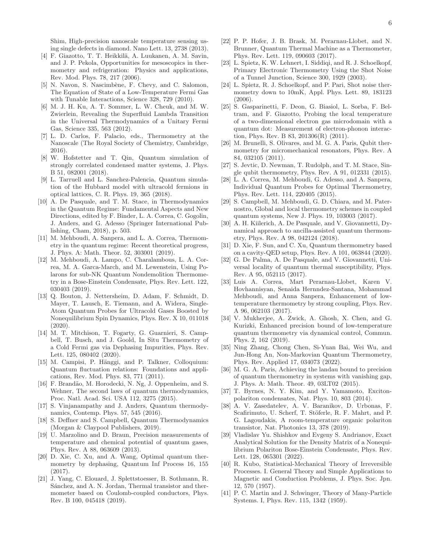- [4] F. Giazotto, T. T. Heikkilä, A. Luukanen, A. M. Savin, and J. P. Pekola, Opportunities for mesoscopics in thermometry and refrigeration: Physics and applications, Rev. Mod. Phys. 78, 217 (2006).
- [5] N. Navon, S. Nascimbène, F. Chevy, and C. Salomon, The Equation of State of a Low-Temperature Fermi Gas with Tunable Interactions, Science 328, 729 (2010).
- [6] M. J. H. Ku, A. T. Sommer, L. W. Cheuk, and M. W. Zwierlein, Revealing the Superfluid Lambda Transition in the Universal Thermodynamics of a Unitary Fermi Gas, Science 335, 563 (2012).
- [7] L. D. Carlos, F. Palacio, eds., Thermometry at the Nanoscale (The Royal Society of Chemistry, Cambridge, 2016).
- [8] W. Hofstetter and T. Qin, Quantum simulation of strongly correlated condensed matter systems, J. Phys. B 51, 082001 (2018).
- [9] L. Tarruell and L. Sanchez-Palencia, Quantum simulation of the Hubbard model with ultracold fermions in optical lattices, C. R. Phys. 19, 365 (2018).
- [10] A. De Pasquale, and T. M. Stace, in Thermodynamics in the Quantum Regime: Fundamental Aspects and New Directions, edited by F. Binder, L. A. Correa, C. Gogolin, J. Anders, and G. Adesso (Springer International Publishing, Cham, 2018), p. 503.
- <span id="page-5-0"></span>[11] M. Mehboudi, A. Sanpera, and L. A. Correa, Thermometry in the quantum regime: Recent theoretical progress, J. Phys. A: Math. Theor. 52, 303001 (2019).
- <span id="page-5-1"></span>[12] M. Mehboudi, A. Lampo, C. Charalambous, L. A. Correa, M. A. Garca-March, and M. Lewenstein, Using Polarons for sub-NK Quantum Nondemolition Thermometry in a Bose-Einstein Condensate, Phys. Rev. Lett. 122, 030403 (2019).
- [13] Q. Bouton, J. Nettersheim, D. Adam, F. Schmidt, D. Mayer, T. Lausch, E. Tiemann, and A. Widera, Single-Atom Quantum Probes for Ultracold Gases Boosted by Nonequilibrium Spin Dynamics, Phys. Rev. X 10, 011018 (2020).
- <span id="page-5-2"></span>[14] M. T. Mitchison, T. Fogarty, G. Guarnieri, S. Campbell, T. Busch, and J. Goold, In Situ Thermometry of a Cold Fermi gas via Dephasing Impurities, Phys. Rev. Lett. 125, 080402 (2020).
- <span id="page-5-3"></span>[15] M. Campisi, P. Hänggi, and P. Talkner, Colloquium: Quantum fluctuation relations: Foundations and applications, Rev. Mod. Phys. 83, 771 (2011).
- [16] F. Brandão, M. Horodecki, N. Ng, J. Oppenheim, and S. Wehner, The second laws of quantum thermodynamics, Proc. Natl. Acad. Sci. USA 112, 3275 (2015).
- [17] S. Vinjanampathy and J. Anders, Quantum thermodynamics, Contemp. Phys. 57, 545 (2016).
- [18] S. Deffner and S. Campbell, Quantum Thermodynamics (Morgan & Claypool Publishers, 2019).
- <span id="page-5-4"></span>[19] U. Marzolino and D. Braun, Precision measurements of temperature and chemical potential of quantum gases, Phys. Rev. A 88, 063609 (2013).
- <span id="page-5-5"></span>[20] D. Xie, C. Xu, and A. Wang, Optimal quantum thermometry by dephasing, Quantum Inf Process 16, 155 (2017).
- [21] J. Yang, C. Elouard, J. Splettstoesser, B. Sothmann, R. Sánchez, and A. N. Jordan, Thermal transistor and thermometer based on Coulomb-coupled conductors, Phys. Rev. B 100, 045418 (2019).
- [22] P. P. Hofer, J. B. Brask, M. Perarnau-Llobet, and N. Brunner, Quantum Thermal Machine as a Thermometer, Phys. Rev. Lett. 119, 090603 (2017).
- [23] L. Spietz, K. W. Lehnert, I. Siddiqi, and R. J. Schoelkopf, Primary Electronic Thermometry Using the Shot Noise of a Tunnel Junction, Science 300, 1929 (2003).
- [24] L. Spietz, R. J. Schoelkopf, and P. Pari, Shot noise thermometry down to 10mK, Appl. Phys. Lett. 89, 183123 (2006).
- [25] S. Gasparinetti, F. Deon, G. Biasiol, L. Sorba, F. Beltram, and F. Giazotto, Probing the local temperature of a two-dimensional electron gas microdomain with a quantum dot: Measurement of electron-phonon interaction, Phys. Rev. B 83, 201306(R) (2011).
- [26] M. Brunelli, S. Olivares, and M. G. A. Paris, Qubit thermometry for micromechanical resonators, Phys. Rev. A 84, 032105 (2011).
- [27] S. Jevtic, D. Newman, T. Rudolph, and T. M. Stace, Single qubit thermometry, Phys. Rev. A 91, 012331 (2015).
- <span id="page-5-17"></span>[28] L. A. Correa, M. Mehboudi, G. Adesso, and A. Sanpera, Individual Quantum Probes for Optimal Thermometry, Phys. Rev. Lett. 114, 220405 (2015).
- [29] S. Campbell, M. Mehboudi, G. D. Chiara, and M. Paternostro, Global and local thermometry schemes in coupled quantum systems, New J. Phys. 19, 103003 (2017).
- [30] A. H. Kiilerich, A. De Pasquale, and V. Giovannetti, Dynamical approach to ancilla-assisted quantum thermometry, Phys. Rev. A 98, 042124 (2018).
- <span id="page-5-6"></span>[31] D. Xie, F. Sun, and C. Xu, Quantum thermometry based on a cavity-QED setup, Phys. Rev. A 101, 063844 (2020).
- <span id="page-5-7"></span>[32] G. De Palma, A. De Pasquale, and V. Giovannetti, Universal locality of quantum thermal susceptibility, Phys. Rev. A 95, 052115 (2017).
- <span id="page-5-8"></span>[33] Luis A. Correa, Mart Perarnau-Llobet, Karen V. Hovhannisyan, Senaida Hernndez-Santana, Mohammad Mehboudi, and Anna Sanpera, Enhancement of lowtemperature thermometry by strong coupling, Phys. Rev. A 96, 062103 (2017).
- <span id="page-5-9"></span>[34] V. Mukherjee, A. Zwick, A. Ghosh, X. Chen, and G. Kurizki, Enhanced precision bound of low-temperature quantum thermometry via dynamical control, Commun. Phys. 2, 162 (2019).
- <span id="page-5-10"></span>[35] Ning Zhang, Chong Chen, Si-Yuan Bai, Wei Wu, and Jun-Hong An, Non-Markovian Quantum Thermometry, Phys. Rev. Applied 17, 034073 (2022).
- <span id="page-5-11"></span>[36] M. G. A. Paris, Achieving the landau bound to precision of quantum thermometry in systems with vanishing gap, J. Phys. A: Math. Theor. 49, 03LT02 (2015).
- <span id="page-5-12"></span>[37] T. Byrnes, N. Y. Kim, and Y. Yamamoto, Excitonpolariton condensates, Nat. Phys. 10, 803 (2014).
- <span id="page-5-13"></span>[38] A. V. Zasedatelev, A. V. Baranikov, D. Urbonas, F. Scafirimuto, U. Scherf, T. Stöferle, R. F. Mahrt, and P. G. Lagoudakis, A room-temperature organic polariton transistor, Nat. Photonics 13, 378 (2019).
- <span id="page-5-14"></span>[39] Vladislav Yu. Shishkov and Evgeny S. Andrianov, Exact Analytical Solution for the Density Matrix of a Nonequilibrium Polariton Bose-Einstein Condensate, Phys. Rev. Lett. 128, 065301 (2022).
- <span id="page-5-15"></span>[40] R. Kubo, Statistical-Mechanical Theory of Irreversible Processes. I. General Theory and Simple Applications to Magnetic and Conduction Problems, J. Phys. Soc. Jpn. 12, 570 (1957).
- <span id="page-5-16"></span>[41] P. C. Martin and J. Schwinger, Theory of Many-Particle Systems. I, Phys. Rev. 115, 1342 (1959).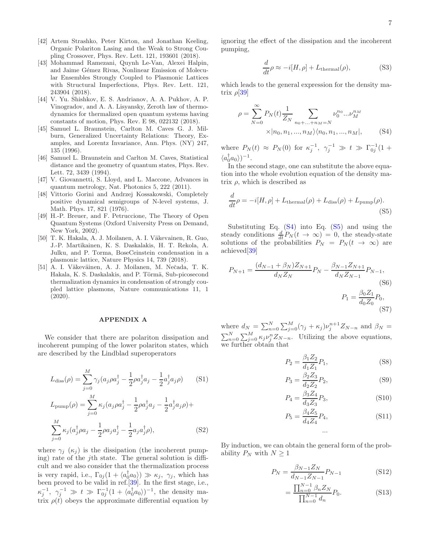- <span id="page-6-0"></span>[42] Artem Strashko, Peter Kirton, and Jonathan Keeling, Organic Polariton Lasing and the Weak to Strong Coupling Crossover, Phys. Rev. Lett. 121, 193601 (2018).
- <span id="page-6-1"></span>[43] Mohammad Ramezani, Quynh Le-Van, Alexei Halpin, and Jaime Gémez Rivas, Nonlinear Emission of Molecular Ensembles Strongly Coupled to Plasmonic Lattices with Structural Imperfections, Phys. Rev. Lett. 121, 243904 (2018).
- <span id="page-6-2"></span>[44] V. Yu. Shishkov, E. S. Andrianov, A. A. Pukhov, A. P. Vinogradov, and A. A. Lisyansky, Zeroth law of thermodynamics for thermalized open quantum systems having constants of motion, Phys. Rev. E 98, 022132 (2018).
- <span id="page-6-3"></span>[45] Samuel L. Braunstein, Carlton M. Caves G. J. Milburn, Generalized Uncertainty Relations: Theory, Examples, and Lorentz Invariance, Ann. Phys. (NY) 247, 135 (1996).
- <span id="page-6-4"></span>[46] Samuel L. Braunstein and Carlton M. Caves, Statistical distance and the geometry of quantum states, Phys. Rev. Lett. 72, 3439 (1994).
- <span id="page-6-5"></span>[47] V. Giovannetti, S. Lloyd, and L. Maccone, Advances in quantum metrology, Nat. Photonics 5, 222 (2011).
- <span id="page-6-6"></span>[48] Vittorio Gorini and Andrzej Kossakowski, Completely positive dynamical semigroups of N-level systems, J. Math. Phys. 17, 821 (1976).
- <span id="page-6-7"></span>[49] H.-P. Breuer, and F. Petruccione, The Theory of Open Quantum Systems (Oxford University Press on Demand, New York, 2002).
- <span id="page-6-8"></span>[50] T. K. Hakala, A. J. Moilanen, A. I. Väkevainen, R. Guo, J.-P. Martikainen, K. S. Daskalakis, H. T. Rekola, A. Julku, and P. Torma, BoseCeinstein condensation in a plasmonic lattice, Nature Physics 14, 739 (2018).
- <span id="page-6-9"></span>[51] A. I. Väkeväinen, A. J. Moilanen, M. Nečada, T. K. Hakala, K. S. Daskalakis, and P. Törmä, Sub-picosecond thermalization dynamics in condensation of strongly coupled lattice plasmons, Nature communications 11, 1 (2020).

## APPENDIX A

We consider that there are polariton dissipation and incoherent pumping of the lower polariton states, which are described by the Lindblad superoperators

$$
L_{\text{diss}}(\rho) = \sum_{j=0}^{M} \gamma_j (a_j \rho a_j^{\dagger} - \frac{1}{2} \rho a_j^{\dagger} a_j - \frac{1}{2} a_j^{\dagger} a_j \rho)
$$
(S1)

$$
L_{\text{pump}}(\rho) = \sum_{j=0}^{M} \kappa_j (a_j \rho a_j^{\dagger} - \frac{1}{2} \rho a_j^{\dagger} a_j - \frac{1}{2} a_j^{\dagger} a_j \rho) +
$$
  

$$
\sum_{j=0}^{M} \kappa_j (a_j^{\dagger} \rho a_j - \frac{1}{2} \rho a_j a_j^{\dagger} - \frac{1}{2} a_j a_j^{\dagger} \rho),
$$
 (S2)

where  $\gamma_i$  ( $\kappa_i$ ) is the dissipation (the incoherent pumping) rate of the jth state. The general solution is difficult and we also consider that the thermalization process is very rapid, i.e.,  $\Gamma_{0j}(1 + \langle a_0^{\dagger} a_0 \rangle) \gg \kappa_j$ ,  $\gamma_j$ , which has been proved to be valid in ref.[\[39\]](#page-5-14). In the first stage, i.e.,  $\kappa_j^{-1}, \gamma_j^{-1} \gg t \gg \Gamma_{0j}^{-1}(1+\langle a_0^{\dagger} a_0 \rangle)^{-1}$ , the density matrix  $\rho(t)$  obeys the approximate differential equation by ignoring the effect of the dissipation and the incoherent pumping,

<span id="page-6-10"></span>
$$
\frac{d}{dt}\rho \approx -i[H,\rho] + L_{\text{thermal}}(\rho),\tag{S3}
$$

which leads to the general expression for the density matrix  $\rho$ [\[39](#page-5-14)]

$$
\rho = \sum_{N=0}^{\infty} P_N(t) \frac{1}{Z_N} \sum_{n_0 + \dots + n_M = N} \nu_0^{n_0} \dots \nu_M^{n_M}
$$

$$
\times |n_0, n_1, \dots, n_M\rangle \langle n_0, n_1, \dots, n_M|, \qquad (S4)
$$

where  $P_N(t) \approx P_N(0)$  for  $\kappa_j^{-1}, \gamma_j^{-1} \gg t \gg \Gamma_{0j}^{-1}(1 +$  $\langle a_0^\dagger a_0 \rangle$ )<sup>-1</sup>.

In the second stage, one can substitute the above equation into the whole evolution equation of the density matrix  $\rho$ , which is described as

<span id="page-6-11"></span>
$$
\frac{d}{dt}\rho = -i[H,\rho] + L_{\text{thermal}}(\rho) + L_{\text{diss}}(\rho) + L_{\text{pump}}(\rho). \tag{S5}
$$

Substituting Eq. [\(S4\)](#page-6-10) into Eq. [\(S5\)](#page-6-11) and using the steady conditions  $\frac{d}{dt}P_N(t \to \infty) = 0$ , the steady-state solutions of the probabilities  $P_N = P_N(t \to \infty)$  are achieved[\[39\]](#page-5-14)

$$
P_{N+1} = \frac{(d_{N-1} + \beta_N)Z_{N+1}}{d_N Z_N} P_N - \frac{\beta_{N-1} Z_{N+1}}{d_N Z_{N-1}} P_{N-1},
$$
\n(S6)\n
$$
P_1 = \frac{\beta_0 Z_1}{d_0 Z_0} P_0,
$$
\n(S7)

where  $d_N = \sum_{n=0}^{N} \sum_{j=0}^{M} (\gamma_j + \kappa_j) \nu_j^{n+1} Z_{N-n}$  and  $\beta_N =$  $\sum_{n=0}^{N} \sum_{j=0}^{M} \kappa_j \nu_j^{n} Z_{N-n}$ . Utilizing the above equations, we further obtain that

$$
P_2 = \frac{\beta_1 Z_2}{d_1 Z_1} P_1,\tag{S8}
$$

$$
P_3 = \frac{\beta_2 Z_3}{d_2 Z_2} P_2,\tag{S9}
$$

$$
P_4 = \frac{\beta_3 Z_4}{d_3 Z_3} P_3, \tag{S10}
$$

$$
P_5 = \frac{\beta_4 Z_5}{d_4 Z_4} P_4,\tag{S11}
$$

By induction, we can obtain the general form of the probability  $P_N$  with  $N \geq 1$ 

$$
P_N = \frac{\beta_{N-1} Z_N}{d_{N-1} Z_{N-1}} P_{N-1}
$$
 (S12)

<span id="page-6-12"></span>...

$$
= \frac{\prod_{n=0}^{N-1} \beta_n Z_N}{\prod_{n=0}^{N-1} d_n} P_0.
$$
 (S13)